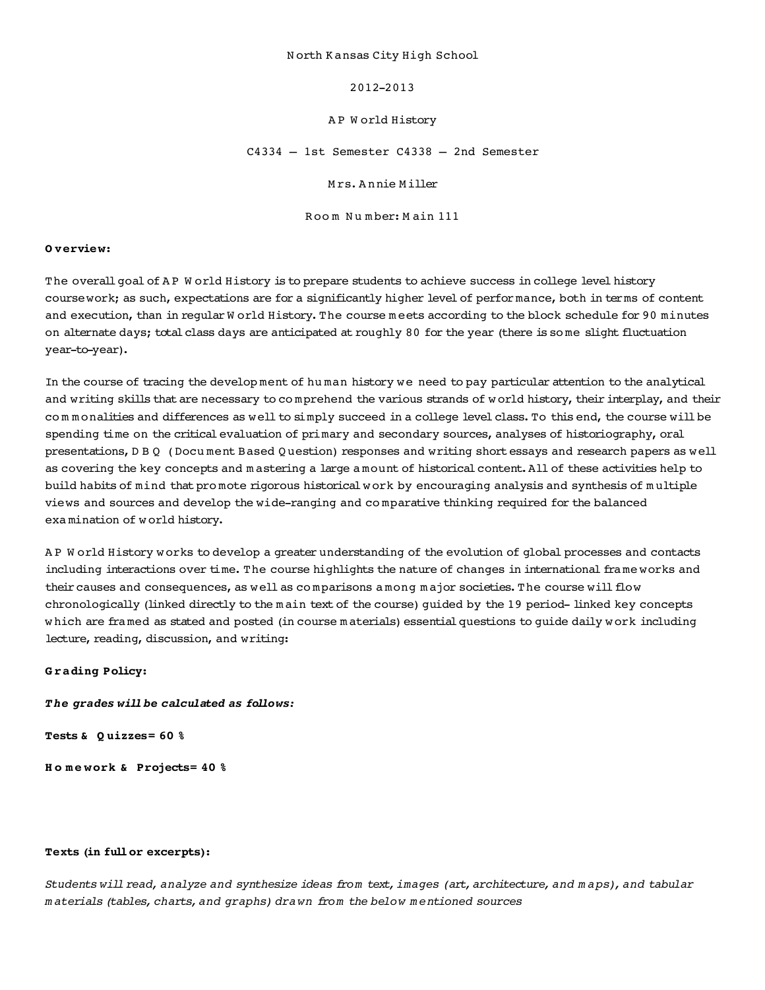### N orth K ansas City High School

20122013

### A P W orld History

C4334 – 1st Semester C4338 – 2nd Semester

M rs. A nnie M iller

R oo m N u m ber: M ain 111

### **O verview:**

The overall goal of AP W orld History is to prepare students to achieve success in college level history coursework; as such, expectations are for a significantly higher level of perfor mance, both in terms of content and execution, than in regular W orld History. The course m eets according to the block schedule for 90 minutes on alternate days; total class days are anticipated at roughly 80 for the year (there is so me slight fluctuation year-to-year).

In the course of tracing the development of human history we need to pay particular attention to the analytical and writing skills that are necessary to co mprehend the various strands of w orld history, their interplay, and their com monalities and differences as well to simply succeed in a college level class. To this end, the course will be spending time on the critical evaluation of primary and secondary sources, analyses of historiography, oral presentations, D B Q (Docu ment Based Q uestion) responses and writing short essays and research papers as w ell as covering the key concepts and m astering a large a mount of historical content. All of these activities help to build habits of mind that pro mote rigorous historical w ork by encouraging analysis and synthesis of m ultiple views and sources and develop the wide-ranging and comparative thinking required for the balanced exa mination of w orld history.

A P W orld History w orks to develop a greater understanding of the evolution of global processes and contacts including interactions over time. The course highlights the nature of changes in international fra me works and their causes and consequences, as w ell as co mparisons a mong m ajor societies. The course will flow chronologically (linked directly to the m ain text of the course) guided by the 19 period-linked key concepts w hich are fra med as stated and posted (in course m aterials) essential questions to guide daily w ork including lecture, reading, discussion, and writing:

# **G rading Policy:**

*T he grades will be calculated as follows:*

**Tests & Q uizzes= 60 %** 

**H o m e work & Projects= 40 %**

# **Texts (in full or excerpts):**

*Students will read, analyze and synthesize ideas from text, images (art, architecture, and m aps), and tabular m aterials (tables, charts, and graphs) drawn from the below m entioned sources*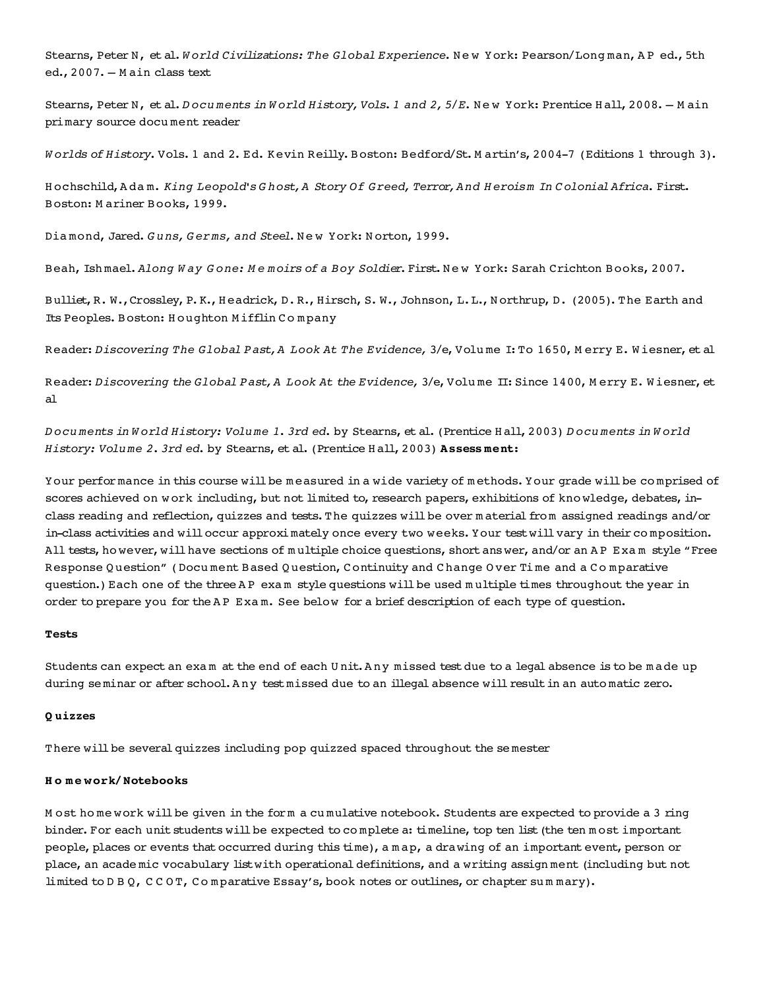Stearns, Peter N, et al. *World Civilizations: The Global Experience*. New York: Pearson/Long man, AP ed., 5th ed., 2007. – M ain class text

Stearns, Peter N, et al. *Docu ments in World History, Vols. 1 and 2, 5/E*. New York: Prentice Hall, 2008. – Main primary source docu ment reader

*W orlds of History.* Vols. 1 and 2. Ed. Kevin Reilly. B oston: Bedford/St. M artin's, 20047 (Editions 1 through 3).

H ochschild, A da m. *King Leopold's G host, A Story Of Greed, Terror, And H eroism In C olonial Africa.* First. B oston: M ariner B ooks, 1999.

Dia mond, Jared. *G uns, G er ms, and Steel.* N e w York: N orton, 1999.

Beah, Ish mael. *Along W ay Gone: Me moirs of a Boy Soldier*. First. New York: Sarah Crichton Books, 2007.

B ulliet, R. W.,Crossley, P.K., H eadrick, D.R., Hirsch, S. W., Johnson, L.L., N orthrup, D. (2005). The Earth and Its Peoples. B oston: H oughton M ifflin C o m pany

Reader: *Discovering The Global Past, A Look At The Evidence,* 3/e, Volu me I: To 1650, M erry E. W iesner, et al

Reader: *Discovering the Global Past, A Look At the Evidence,* 3/e, Volu me II: Since 1400, M erry E. W iesner, et al

*D ocu ments in W orld History: Volu me 1. 3rd ed.* by Stearns, et al. (Prentice H all, 2003) *D ocu ments in W orld History: Volu me 2. 3rd ed.* by Stearns, et al. (Prentice H all, 2003) **Assess ment:**

Your perfor mance in this course will be measured in a wide variety of methods. Your grade will be comprised of scores achieved on w ork including, but not limited to, research papers, exhibitions of kno wledge, debates, inclass reading and reflection, quizzes and tests. The quizzes will be over m aterial fro m assigned readings and/or in-class activities and will occur approximately once every two weeks. Your test will vary in their composition. All tests, however, will have sections of multiple choice questions, short answer, and/or an AP Exam style "Free Response Q uestion" (Docu ment Based Q uestion, C ontinuity and C hange O ver Ti me and a C o m parative question.) Each one of the three A P exa m style questions will be used m ultiple times throughout the year in order to prepare you for the A P Exa m. See below for a brief description of each type of question.

#### **Tests**

Students can expect an exa m at the end of each U nit. A ny missed test due to a legal absence is to be m ade up during seminar or after school. Any test missed due to an illegal absence will result in an auto matic zero.

#### **Q uizzes**

There will be several quizzes including pop quizzed spaced throughout the se mester

#### **H o m e work/Notebooks**

M ost ho me work will be given in the form a cu mulative notebook. Students are expected to provide a 3 ring binder. For each unit students will be expected to co mplete a: timeline, top ten list (the ten m ost important people, places or events that occurred during this time), a m ap, a drawing of an important event, person or place, an acade mic vocabulary list with operational definitions, and a writing assign ment (including but not limited to D B Q, C C O T, C o m parative Essay's, book notes or outlines, or chapter su m mary).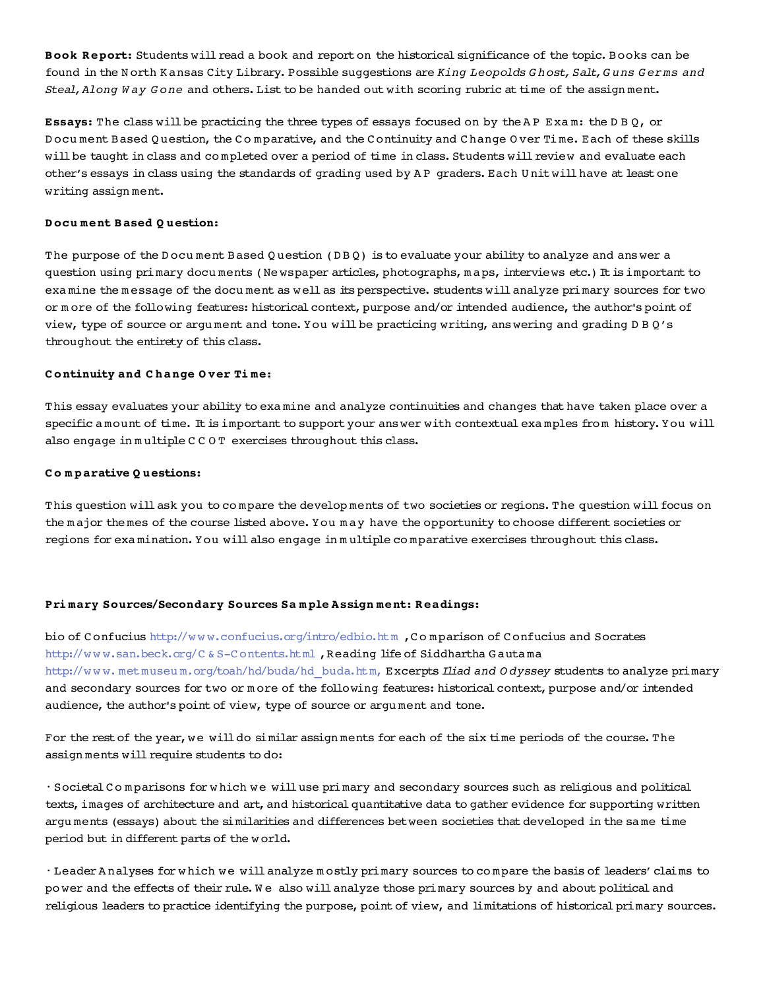**B ook R eport:** Students will read a book and report on the historical significance of the topic. B ooks can be found in the N orth K ansas City Library. Possible suggestions are *King Leopolds G host, Salt, G uns G er ms and Steal, Along W ay G one* and others. List to be handed out with scoring rubric at time of the assign ment.

**Essays:** The class will be practicing the three types of essays focused on by the AP Exam: the D B Q, or Docu ment Based Question, the Comparative, and the Continuity and Change Over Time. Each of these skills will be taught in class and co mpleted over a period of time in class. Students will review and evaluate each other's essays in class using the standards of grading used by A P graders. Each U nit will have at least one writing assign ment.

### **D ocu ment B ased Q uestion:**

The purpose of the D ocu ment Based Q uestion (DBQ) is to evaluate your ability to analyze and ans wer a question using primary docu ments (Ne wspaper articles, photographs, m aps, interviews etc.) It is important to exa mine the m essage of the docu ment as w ell as its perspective. students will analyze primary sources for two or m ore of the following features: historical context, purpose and/or intended audience, the author's point of view, type of source or argu ment and tone. You will be practicing writing, answering and grading D B Q's throughout the entirety of this class.

# **C o ntinuity and C hange O ver Ti me:**

This essay evaluates your ability to exa mine and analyze continuities and changes that have taken place over a specific a mount of time. It is important to support your answer with contextual examples from history. You will also engage in m ultiple C C O T exercises throughout this class.

### **C o m parative Q uestions:**

This question will ask you to co mpare the develop ments of two societies or regions. The question will focus on the m ajor the mes of the course listed above. You m ay have the opportunity to choose different societies or regions for exa mination. You will also engage in m ultiple co mparative exercises throughout this class.

# **Pri mary Sources/Secondary Sources Sa m ple Assign ment: R eadings:**

bio of C onfucius http://w w w.confucius.org/intro/edbio.htm , C o m parison of C onfucius and Socrates http://www.san.beck.org/C & S-Contents.html , Reading life of Siddhartha Gautama http://w w w. met museu m.org/toah/hd/buda/hd\_buda.htm, Excerpts *Iliad and O dyssey* students to analyze primary and secondary sources for two or m ore of the following features: historical context, purpose and/or intended audience, the author's point of view, type of source or argu ment and tone.

For the rest of the year, we will do similar assign ments for each of the six time periods of the course. The assign ments will require students to do:

• Societal Comparisons for which we will use primary and secondary sources such as religious and political texts, images of architecture and art, and historical quantitative data to gather evidence for supporting written argu ments (essays) about the similarities and differences between societies that developed in the sa me time period but in different parts of the w orld.

· Leader A nalyses for which we will analyze mostly primary sources to compare the basis of leaders' claims to po wer and the effects of their rule. W e also will analyze those primary sources by and about political and religious leaders to practice identifying the purpose, point of view, and limitations of historical primary sources.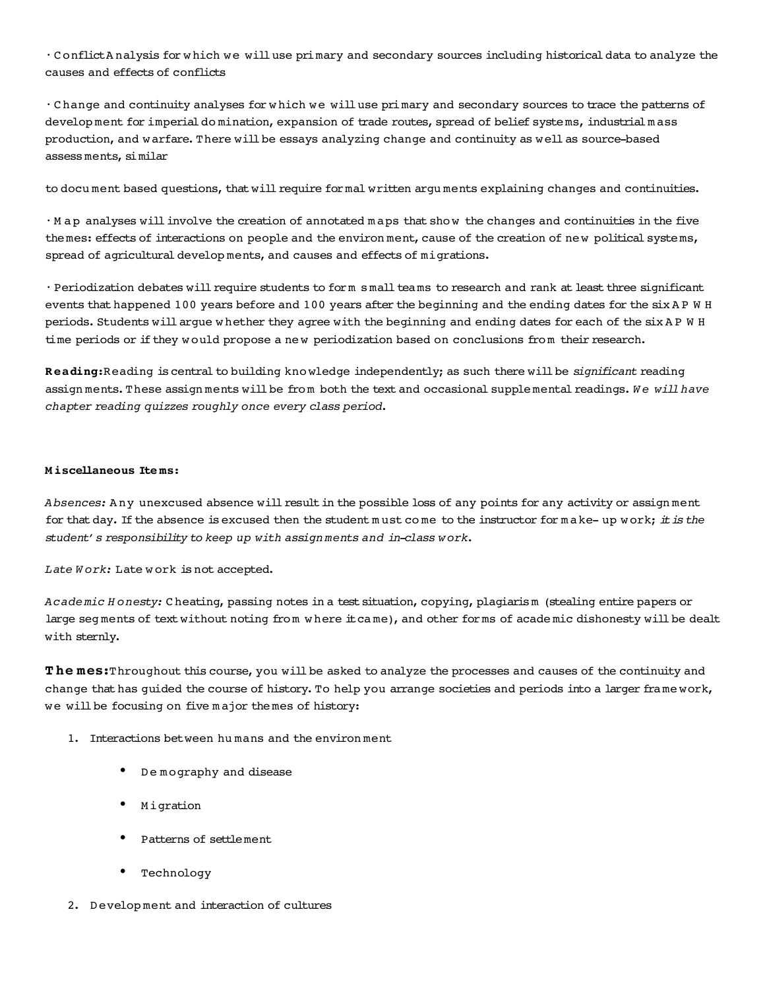• C onflict A nalysis for w hich w e will use primary and secondary sources including historical data to analyze the causes and effects of conflicts

• Change and continuity analyses for w hich we will use primary and secondary sources to trace the patterns of develop ment for imperial do mination, expansion of trade routes, spread of belief syste ms, industrial m ass production, and w arfare. There will be essays analyzing change and continuity as well as source-based assess ments, similar

to docu ment based questions, that will require formal written argu ments explaining changes and continuities.

• M a p analyses will involve the creation of annotated m aps that sho w the changes and continuities in the five the mes: effects of interactions on people and the environ ment, cause of the creation of ne w political syste ms, spread of agricultural develop ments, and causes and effects of migrations.

• Periodization debates will require students to form s mall tea ms to research and rank at least three significant events that happened 100 years before and 100 years after the beginning and the ending dates for the six A P W H periods. Students will argue w hether they agree with the beginning and ending dates for each of the six A P W H time periods or if they would propose a new periodization based on conclusions from their research.

**R eading:**Reading is central to building kno wledge independently; as such there will be *significant* reading assign ments. These assign ments will be from both the text and occasional supple mental readings. We will have *chapter reading quizzes roughly once every class period.*

#### **M iscellaneous Ite ms:**

*Absences:* A ny unexcused absence will result in the possible loss of any points for any activity or assign ment for that day. If the absence is excused then the student must come to the instructor for make-up work; *it is the student' s responsibility to keep up with assign ments and inclass w ork.*

*Late W ork:* Late w ork is not accepted.

*Acade mic H onesty:* C heating, passing notes in a test situation, copying, plagiarism (stealing entire papers or large seg ments of text without noting from where it came), and other forms of acade mic dishonesty will be dealt with sternly.

**T he mes:**Throughout this course, you will be asked to analyze the processes and causes of the continuity and change that has guided the course of history. To help you arrange societies and periods into a larger fra me work, we will be focusing on five major the mes of history:

- 1. Interactions between hu mans and the environ ment
	- De mography and disease
	- M igration
	- Patterns of settlement
	- Technology
- 2. Development and interaction of cultures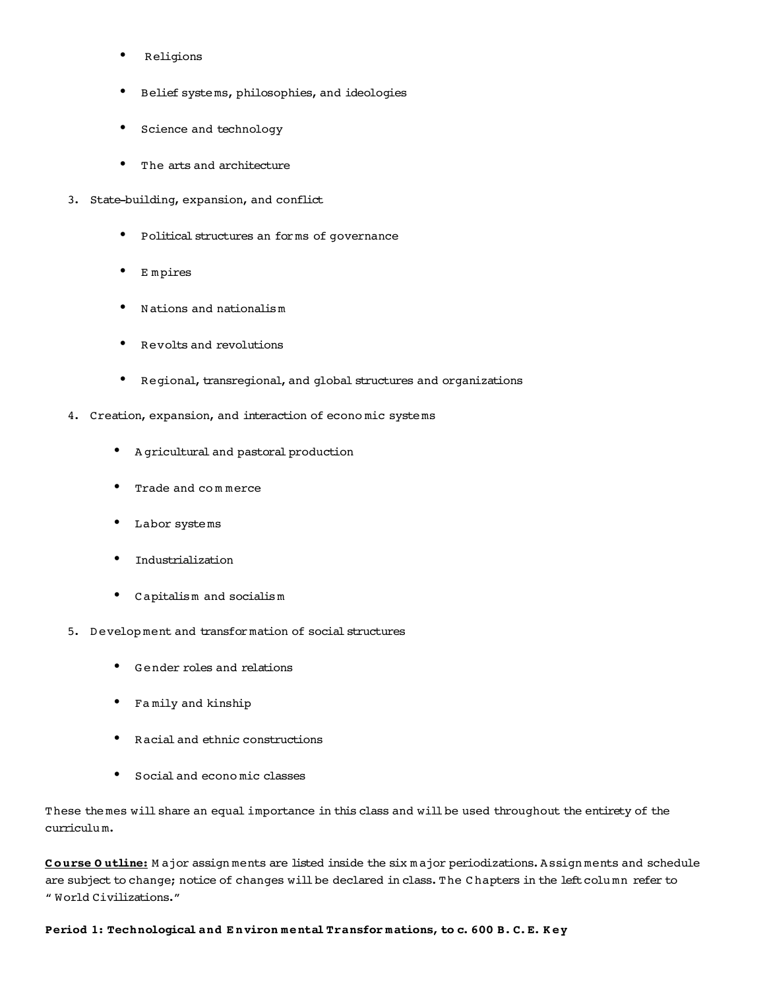- Religions
- Belief syste ms, philosophies, and ideologies
- Science and technology
- The arts and architecture
- 3. State-building, expansion, and conflict
	- Political structures an forms of governance
	- E m pires
	- N ations and nationalism
	- Revolts and revolutions
	- Regional, transregional, and global structures and organizations
- 4. Creation, expansion, and interaction of econo mic syste ms
	- A gricultural and pastoral production
	- Trade and co m merce
	- Labor syste ms
	- Industrialization
	- Capitalism and socialism
- 5. Development and transformation of social structures
	- G ender roles and relations
	- Fa mily and kinship
	- Racial and ethnic constructions
	- Social and econo mic classes

These the mes will share an equal importance in this class and will be used throughout the entirety of the curriculu m.

**C o urse O utline:** M ajor assign ments are listed inside the six m ajor periodizations. Assign ments and schedule are subject to change; notice of changes will be declared in class. The C hapters in the left colu mn refer to " World Civilizations."

**Period 1: Technological and E nviron mental Transfor mations, to c. 600 B. C.E. K ey**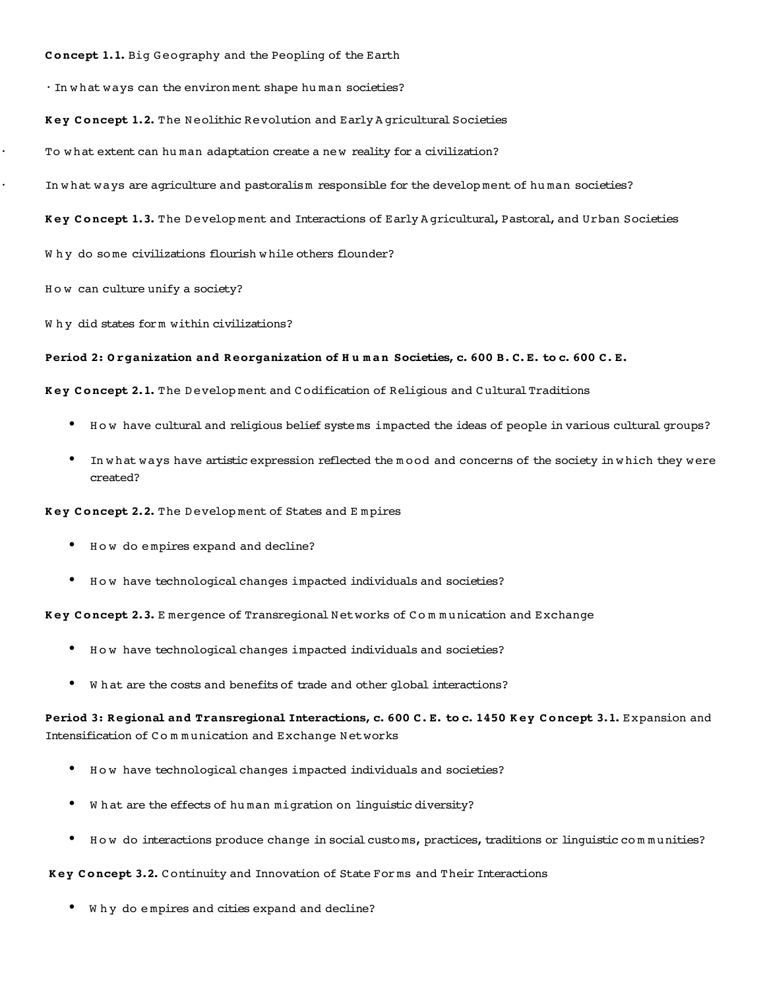# Concept 1.1. Big Geography and the Peopling of the Earth

• In w hat ways can the environ ment shape hu man societies?

### **K ey C o ncept 1.2.** The N eolithic Revolution and Early A gricultural Societies

- To what extent can human adaptation create a new reality for a civilization?
- In w hat ways are agriculture and pastoralism responsible for the develop ment of hu man societies?
- **K ey C o ncept 1.3.** The D evelop ment and Interactions of Early A gricultural, Pastoral, and Urban Societies

W hy do some civilizations flourish w hile others flounder?

How can culture unify a society?

Why did states form within civilizations?

### Period 2: Organization and Reorganization of Human Societies, c. 600 B.C.E. to c. 600 C.E.

**K ey C o ncept 2.1.** The D evelop ment and C odification of Religious and C ultural Traditions

- H o w have cultural and religious belief syste ms impacted the ideas of people in various cultural groups?
- In w hat ways have artistic expression reflected the m ood and concerns of the society in w hich they w ere created?

**Key Concept 2.2.** The Development of States and Empires

- H o w do e mpires expand and decline?
- H o w have technological changes impacted individuals and societies?

**K ey C o ncept 2.3.** E mergence of Transregional N etworks of C o m m unication and Exchange

- H o w have technological changes impacted individuals and societies?
- W h at are the costs and benefits of trade and other global interactions?

Period 3: Regional and Transregional Interactions, c. 600 C.E. to c. 1450 Key Concept 3.1. Expansion and Intensification of Communication and Exchange Networks

- H o w have technological changes impacted individuals and societies?
- Wh at are the effects of human migration on linguistic diversity?
- How do interactions produce change in social customs, practices, traditions or linguistic communities?

### **K ey C o ncept 3.2.** C ontinuity and Innovation of State For ms and Their Interactions

Why do empires and cities expand and decline?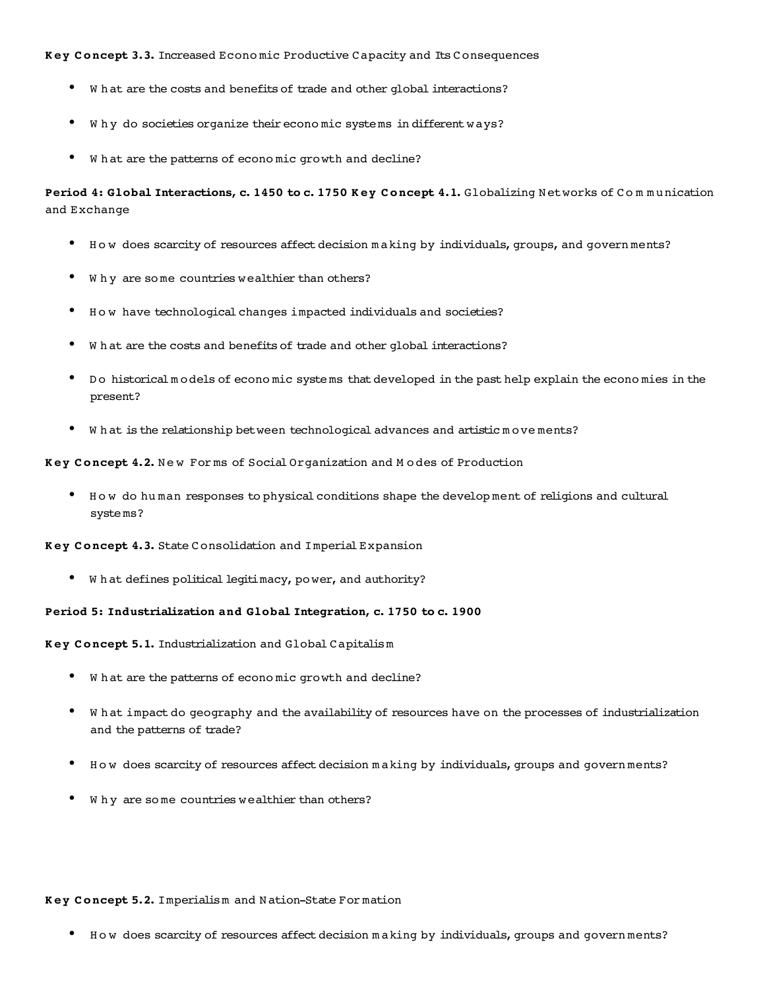# **K ey C o ncept 3.3.** Increased Econo mic Productive Capacity and Its C onsequences

- W h at are the costs and benefits of trade and other global interactions?
- Why do societies organize their economic systems in different ways?
- Wh at are the patterns of economic growth and decline?

Period 4: Global Interactions, c. 1450 to c. 1750 Key Concept 4.1. Globalizing Networks of Communication and Exchange

- H o w does scarcity of resources affect decision m aking by individuals, groups, and govern ments?
- Why are some countries wealthier than others?
- H o w have technological changes impacted individuals and societies?
- W h at are the costs and benefits of trade and other global interactions?
- Do historical models of economic systems that developed in the past help explain the economies in the present?
- W h at is the relationship between technological advances and artistic m ove ments?

**K ey C o ncept 4.2.** N e w For ms of Social Organization and M o des of Production

• H o w do hu man responses to physical conditions shape the develop ment of religions and cultural syste ms?

**K ey C o ncept 4.3.** State C onsolidation and Imperial Expansion

W h at defines political legitimacy, power, and authority?

### **Period 5: Industrialization and Global Integration, c. 1750 to c. 1900**

**K ey C o ncept 5.1.** Industrialization and Global Capitalism

- Wh at are the patterns of economic growth and decline?
- W h at impact do geography and the availability of resources have on the processes of industrialization and the patterns of trade?
- H o w does scarcity of resources affect decision m aking by individuals, groups and govern ments?
- Why are some countries wealthier than others?

#### **Key Concept 5.2.** Imperialism and Nation-State For mation

• H o w does scarcity of resources affect decision m aking by individuals, groups and govern ments?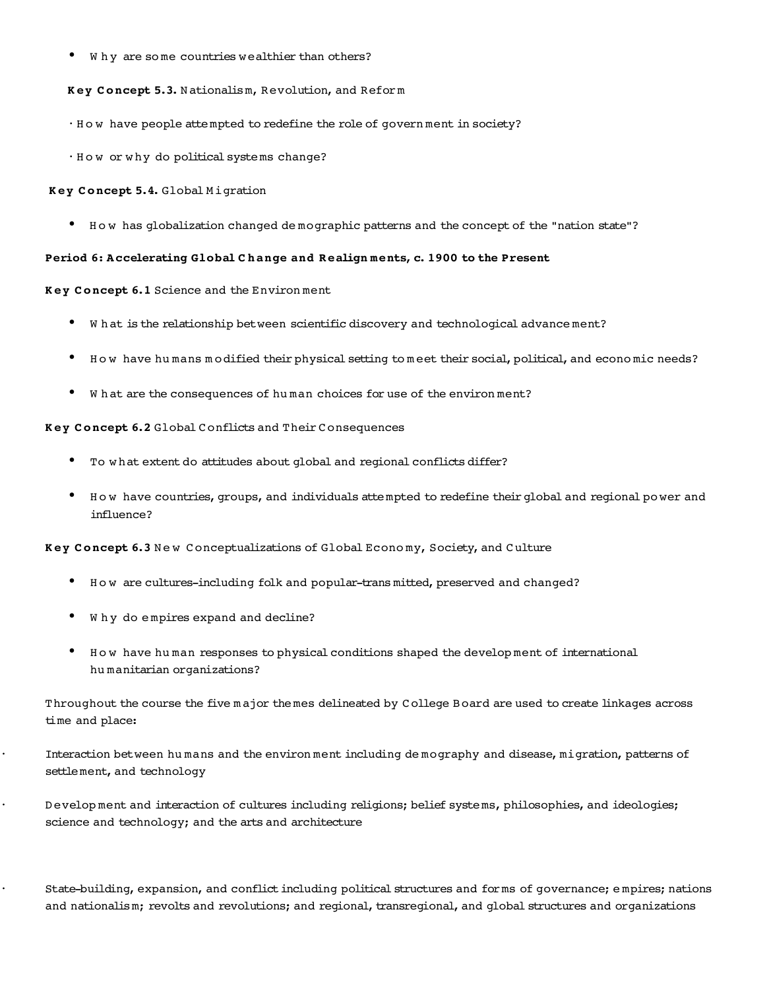Why are some countries wealthier than others?

**K ey C o ncept 5.3.** N ationalism, Revolution, and Refor m

- H o w have people atte mpted to redefine the role of govern ment in society?
- H o w or w hy do political syste ms change?

#### **K ey C o ncept 5.4.** Global M igration

• H o w has globalization changed de mographic patterns and the concept of the "nation state"?

### **Period 6: A ccelerating Global C hange and R ealign ments, c. 1900 to the Present**

**K ey C o ncept 6.1** Science and the Environ ment

- W h at is the relationship between scientific discovery and technological advance ment?
- H o w have hu mans m odified their physical setting to m eet their social, political, and econo mic needs?
- W h at are the consequences of hu man choices for use of the environ ment?

# **K ey C o ncept 6.2** Global C onflicts and Their C onsequences

- To w hat extent do attitudes about global and regional conflicts differ?
- H o w have countries, groups, and individuals atte mpted to redefine their global and regional po wer and influence?

**Key Concept 6.3** New Conceptualizations of Global Economy, Society, and Culture

- How are cultures-including folk and popular-trans mitted, preserved and changed?
- Why do empires expand and decline?
- H o w have hu man responses to physical conditions shaped the develop ment of international hu manitarian organizations?

Throughout the course the five m ajor the mes delineated by C ollege B oard are used to create linkages across time and place:

• Interaction between hu mans and the environ ment including de mography and disease, migration, patterns of settlement, and technology

• D evelop ment and interaction of cultures including religions; belief syste ms, philosophies, and ideologies; science and technology; and the arts and architecture

• Statebuilding, expansion, and conflict including political structures and forms of governance; e mpires; nations and nationalism; revolts and revolutions; and regional, transregional, and global structures and organizations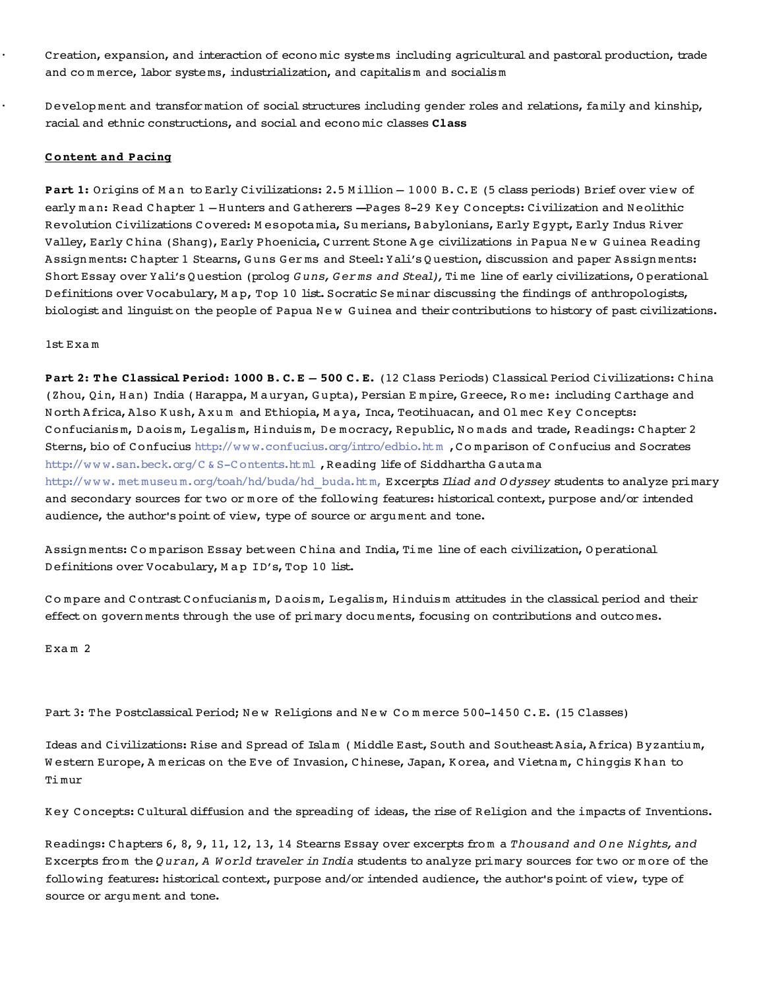Creation, expansion, and interaction of economic systems including agricultural and pastoral production, trade and commerce, labor systems, industrialization, and capitalism and socialism

Development and transformation of social structures including gender roles and relations, family and kinship, racial and ethnic constructions, and social and economic classes Class

# **Content and Pacing**

Part 1: Origins of Man to Early Civilizations: 2.5 Million - 1000 B.C.E (5 class periods) Brief over view of early man: Read Chapter 1 - Hunters and Gatherers - Pages 8-29 Key Concepts: Civilization and Neolithic Revolution Civilizations Covered: Mesopotamia, Sumerians, Babylonians, Early Egypt, Early Indus River Valley, Early China (Shang), Early Phoenicia, Current Stone Age civilizations in Papua New Guinea Reading Assignments: Chapter 1 Stearns, Guns Germs and Steel: Yali's Question, discussion and paper Assignments: Short Essay over Yali's Question (prolog Guns, Germs and Steal), Time line of early civilizations, Operational Definitions over Vocabulary, M ap, Top 10 list. Socratic Seminar discussing the findings of anthropologists, biologist and linguist on the people of Papua New Guinea and their contributions to history of past civilizations.

# $1$ st Exam

Part 2: The Classical Period: 1000 B.C.E - 500 C.E. (12 Class Periods) Classical Period Civilizations: China (Zhou, Qin, Han) India (Harappa, Mauryan, Gupta), Persian Empire, Greece, Rome: including Carthage and North Africa, Also Kush, Axum and Ethiopia, Maya, Inca, Teotihuacan, and Olmec Key Concepts: Confucianism, Daoism, Legalism, Hinduism, Democracy, Republic, Nomads and trade, Readings: Chapter 2 Sterns, bio of Confucius http://www.confucius.org/intro/edbio.htm , Comparison of Confucius and Socrates http://www.san.beck.org/C&S-Contents.html , Reading life of Siddhartha Gautama http://www.metmuseum.org/toah/hd/buda/hd buda.htm, Excerpts Iliad and Odyssey students to analyze primary and secondary sources for two or more of the following features: historical context, purpose and/or intended audience, the author's point of view, type of source or argument and tone.

Assignments: Comparison Essay between China and India, Time line of each civilization, Operational Definitions over Vocabulary, Map ID's, Top 10 list.

Compare and Contrast Confucianism, Daoism, Legalism, Hinduism attitudes in the classical period and their effect on governments through the use of primary documents, focusing on contributions and outcomes.

 $Exam<sub>2</sub>$ 

Part 3: The Postclassical Period; New Religions and New Commerce 500-1450 C.E. (15 Classes)

Ideas and Civilizations: Rise and Spread of Islam (Middle East, South and Southeast Asia, Africa) Byzantium, Western Europe, A mericas on the Eve of Invasion, Chinese, Japan, Korea, and Vietnam, Chinggis Khan to Timur

Key Concepts: Cultural diffusion and the spreading of ideas, the rise of Religion and the impacts of Inventions.

Readings: Chapters 6, 8, 9, 11, 12, 13, 14 Stearns Essay over excerpts from a Thousand and One Nights, and Excerpts from the Quran, A World traveler in India students to analyze primary sources for two or more of the following features: historical context, purpose and/or intended audience, the author's point of view, type of source or argument and tone.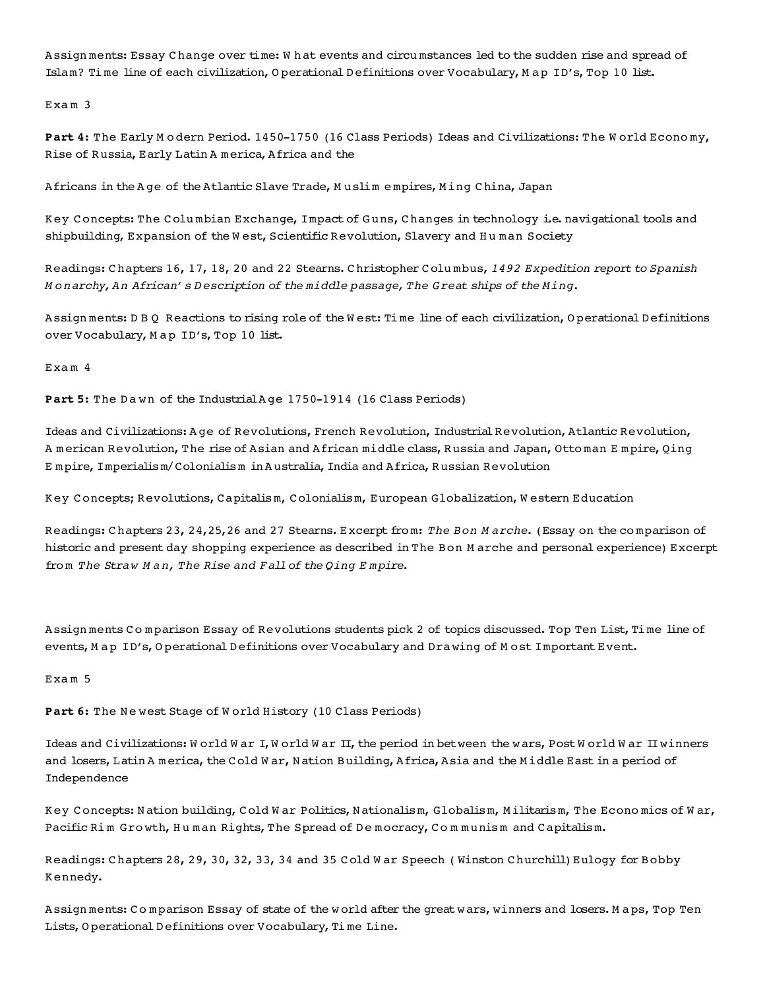Assign ments: Essay Change over time: W h at events and circu mstances led to the sudden rise and spread of Islam? Time line of each civilization, Operational Definitions over Vocabulary, Map ID's, Top 10 list.

Exam 3

Part 4: The Early M odern Period. 1450-1750 (16 Class Periods) Ideas and Civilizations: The W orld Economy, Rise of Russia, Early Latin A merica, Africa and the

Africans in the A ge of the Atlantic Slave Trade, M uslim e mpires, M ing C hina, Japan

K ey C oncepts: The C olu mbian Exchange, Impact of G uns, C hanges in technology i.e. navigational tools and shipbuilding, Expansion of the W est, Scientific Revolution, Slavery and Hu man Society

Readings: C hapters 16, 17, 18, 20 and 22 Stearns. C hristopher C olu mbus, *1492 Expedition report to Spanish M o narchy, An African' s D escription of the middle passage, The Great ships of the Ming.*

Assign ments: D B Q Reactions to rising role of the W est: Ti me line of each civilization, O perational Definitions over Vocabulary, Map ID's, Top 10 list.

Exa m 4

Part 5: The Dawn of the Industrial A ge 1750-1914 (16 Class Periods)

Ideas and Civilizations: A ge of Revolutions, French Revolution, Industrial Revolution, Atlantic Revolution, A m erican Revolution, The rise of Asian and African middle class, R ussia and Japan, Otto man E m pire, Qing E m pire, Imperialism/Colonialism in A ustralia, India and Africa, R ussian Revolution

K ey C oncepts; Revolutions, Capitalism, C olonialism, European Globalization, W estern Education

Readings: C hapters 23, 24,25,26 and 27 Stearns. Excerpt fro m: *The Bon M arche.* (Essay on the co mparison of historic and present day shopping experience as described in The B on M arche and personal experience) Excerpt from The Straw Man, The Rise and Fall of the Qing Empire.

Assign ments C o m parison Essay of Revolutions students pick 2 of topics discussed. Top Ten List, Ti me line of events, M a p ID's, O perational Definitions over Vocabulary and Drawing of M ost Important Event.

Exa m 5

Part 6: The Newest Stage of World History (10 Class Periods)

Ideas and Civilizations: W orld W ar I, W orld W ar II, the period in between the w ars, Post W orld W ar II winners and losers, Latin A m erica, the C old W ar, N ation B uilding, Africa, Asia and the M iddle East in a period of Independence

K ey C oncepts: N ation building, C old W ar Politics, N ationalism, Globalism, M ilitarism, The Econo mics of W ar, Pacific Rim Growth, Human Rights, The Spread of Democracy, Communism and Capitalism.

Readings: C hapters 28, 29, 30, 32, 33, 34 and 35 C old W ar Speech ( Winston C hurchill) Eulogy for B obby K ennedy.

Assign ments: Comparison Essay of state of the world after the great wars, winners and losers. Maps, Top Ten Lists, O perational D efinitions over Vocabulary, Ti me Line.